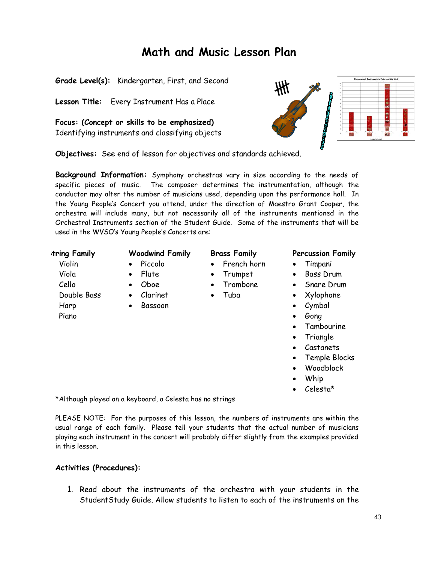# **Math and Music Lesson Plan**

**Grade Level(s):** Kindergarten, First, and Second

**Lesson Title:** Every Instrument Has a Place

**Focus: (Concept or skills to be emphasized)**  Identifying instruments and classifying objects Fictograph of Instruments in Peter and the We

**Objectives:** See end of lesson for objectives and standards achieved.

**Background Information:** Symphony orchestras vary in size according to the needs of specific pieces of music. The composer determines the instrumentation, although the conductor may alter the number of musicians used, depending upon the performance hall. In the Young People's Concert you attend, under the direction of Maestro Grant Cooper, the orchestra will include many, but not necessarily all of the instruments mentioned in the Orchestral Instruments section of the Student Guide. Some of the instruments that will be used in the WVSO's Young People's Concerts are:

Violin Viola Cello Double Bass Harp Piano

- Piccolo • Flute
- 
- Oboe • Clarinet
	- Bassoon

- French horn
- Trumpet
- Trombone
- Tuba

# **String Family Woodwind Family Brass Family Percussion Family**

- Timpani
- Bass Drum
- Snare Drum
- Xylophone
- Cymbal
- Gong
- Tambourine
- Trianale
- Castanets
- Temple Blocks
- Woodblock
- Whip
- Celesta\*

\*Although played on a keyboard, a Celesta has no strings

PLEASE NOTE: For the purposes of this lesson, the numbers of instruments are within the usual range of each family. Please tell your students that the actual number of musicians playing each instrument in the concert will probably differ slightly from the examples provided in this lesson.

## **Activities (Procedures):**

1. Read about the instruments of the orchestra with your students in the StudentStudy Guide. Allow students to listen to each of the instruments on the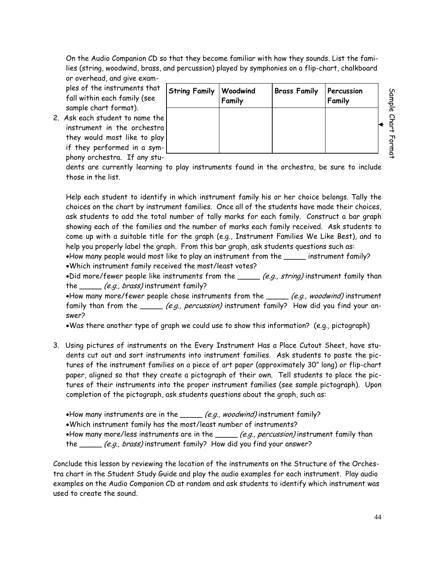On the Audio Companion CD so that they become familiar with how they sounds. List the families (string, woodwind, brass, and percussion) played by symphonies on a flip-chart, chalkboard or overhead, and give exam-

ples of the instruments that fall within each family (see sample chart format).

2. Ask each student to name the instrument in the orchestra they would most like to play if they performed in a symphony orchestra. If any stu-

| String Family Woodwind<br>Family | <b>Brass Family Percussion</b> | Family |  |
|----------------------------------|--------------------------------|--------|--|
|                                  |                                |        |  |
|                                  |                                |        |  |

dents are currently learning to play instruments found in the orchestra, be sure to include those in the list.

Help each student to identify in which instrument family his or her choice belongs. Tally the choices on the chart by instrument families. Once all of the students have made their choices, ask students to add the total number of tally marks for each family. Construct a bar graph showing each of the families and the number of marks each family received. Ask students to come up with a suitable title for the graph (e.g., Instrument Families We Like Best), and to help you properly label the graph. From this bar graph, ask students questions such as:

•How many people would most like to play an instrument from the \_\_\_\_\_ instrument family? •Which instrument family received the most/least votes?

•Did more/fewer people like instruments from the  $\mu$  (e.g., string) instrument family than the *(e.g., brass)* instrument family?

•How many more/fewer people chose instruments from the  $\rule{1em}{0.25mm}$  (e.g., woodwind) instrument family than from the \_\_\_\_\_ (e.g., percussion) instrument family? How did you find your answer?

•Was there another type of graph we could use to show this information? (e.g., pictograph)

- 3. Using pictures of instruments on the Every Instrument Has a Place Cutout Sheet, have students cut out and sort instruments into instrument families. Ask students to paste the pictures of the instrument families on a piece of art paper (approximately 30" long) or flip-chart paper, aligned so that they create a pictograph of their own. Tell students to place the pictures of their instruments into the proper instrument families (see sample pictograph). Upon completion of the pictograph, ask students questions about the graph, such as:
	- •How many instruments are in the  $\frac{(e.g.,\text{woodwind})}{\sqrt{2}}$  instrument family?
	- •Which instrument family has the most/least number of instruments?

•How many more/less instruments are in the  $\rule{1em}{0.15mm}$  (e.g., percussion) instrument family than the *\_\_\_\_\_ (e.g., brass)* instrument family? How did you find your answer?

Conclude this lesson by reviewing the location of the instruments on the Structure of the Orchestra chart in the Student Study Guide and play the audio examples for each instrument. Play audio examples on the Audio Companion CD at random and ask students to identify which instrument was used to create the sound.